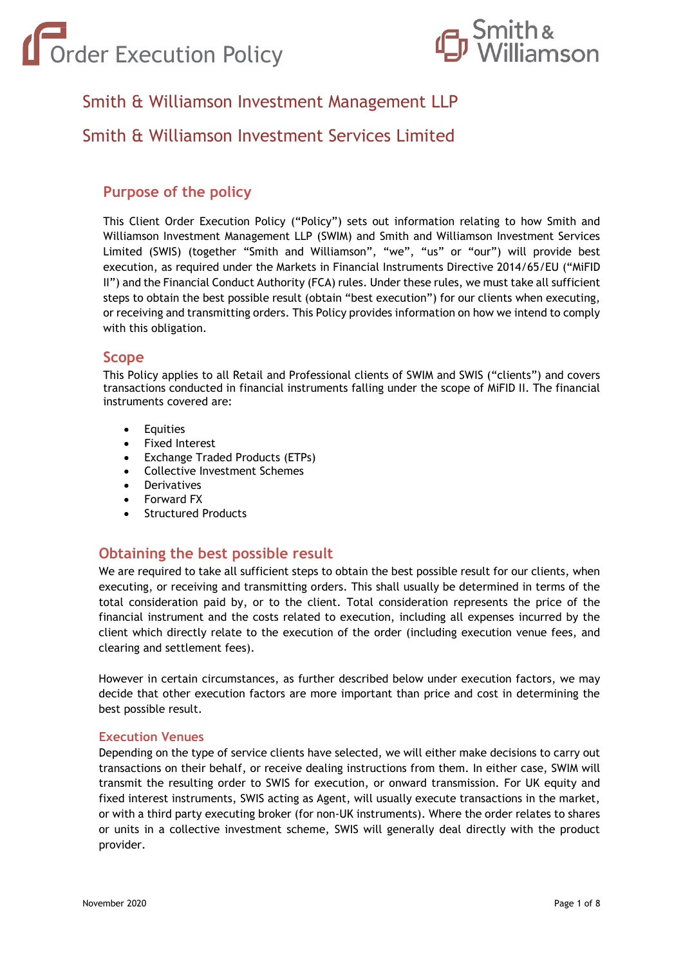



# Smith & Williamson Investment Management LLP

# Smith & Williamson Investment Services Limited

# **Purpose of the policy**

This Client Order Execution Policy ("Policy") sets out information relating to how Smith and Williamson Investment Management LLP (SWIM) and Smith and Williamson Investment Services Limited (SWIS) (together "Smith and Williamson", "we", "us" or "our") will provide best execution, as required under the Markets in Financial Instruments Directive 2014/65/EU ("MiFID II") and the Financial Conduct Authority (FCA) rules. Under these rules, we must take all sufficient steps to obtain the best possible result (obtain "best execution") for our clients when executing, or receiving and transmitting orders. This Policy provides information on how we intend to comply with this obligation.

# **Scope**

This Policy applies to all Retail and Professional clients of SWIM and SWIS ("clients") and covers transactions conducted in financial instruments falling under the scope of MiFID II. The financial instruments covered are:

- Equities
- Fixed Interest
- Exchange Traded Products (ETPs)
- Collective Investment Schemes
- **Derivatives**
- Forward FX
- Structured Products

# **Obtaining the best possible result**

We are required to take all sufficient steps to obtain the best possible result for our clients, when executing, or receiving and transmitting orders. This shall usually be determined in terms of the total consideration paid by, or to the client. Total consideration represents the price of the financial instrument and the costs related to execution, including all expenses incurred by the client which directly relate to the execution of the order (including execution venue fees, and clearing and settlement fees).

However in certain circumstances, as further described below under execution factors, we may decide that other execution factors are more important than price and cost in determining the best possible result.

#### **Execution Venues**

Depending on the type of service clients have selected, we will either make decisions to carry out transactions on their behalf, or receive dealing instructions from them. In either case, SWIM will transmit the resulting order to SWIS for execution, or onward transmission. For UK equity and fixed interest instruments, SWIS acting as Agent, will usually execute transactions in the market, or with a third party executing broker (for non-UK instruments). Where the order relates to shares or units in a collective investment scheme, SWIS will generally deal directly with the product provider.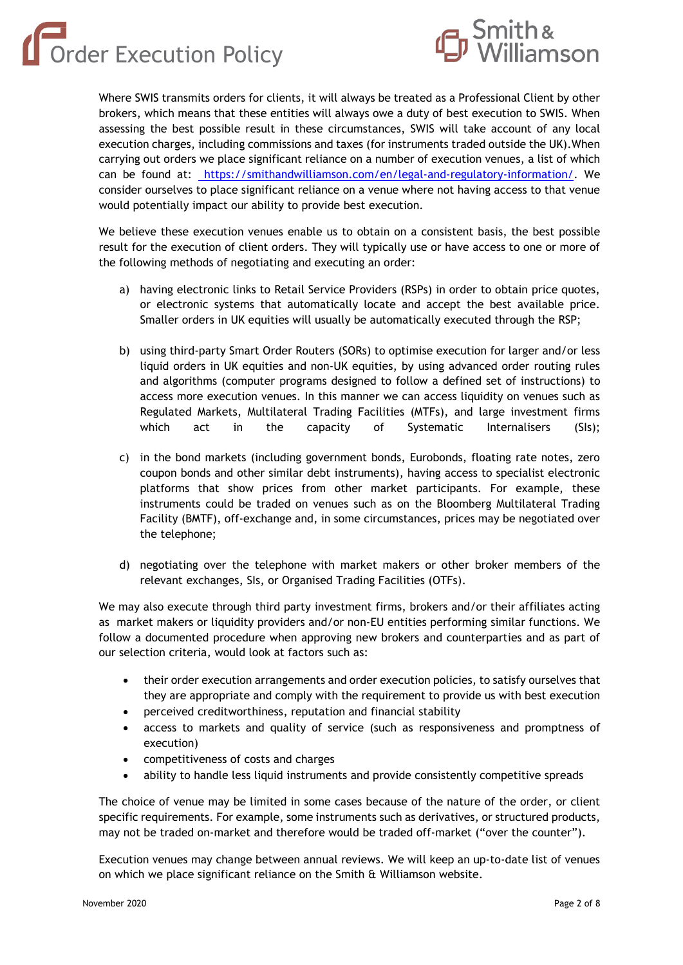Order Execution Policy



Where SWIS transmits orders for clients, it will always be treated as a Professional Client by other brokers, which means that these entities will always owe a duty of best execution to SWIS. When assessing the best possible result in these circumstances, SWIS will take account of any local execution charges, including commissions and taxes (for instruments traded outside the UK).When carrying out orders we place significant reliance on a number of execution venues, a list of which can be found at: [https://smithandwilliamson.com/en/legal-and-regulatory-information/.](https://smithandwilliamson.com/en/legal-and-regulatory-information/) We consider ourselves to place significant reliance on a venue where not having access to that venue would potentially impact our ability to provide best execution.

We believe these execution venues enable us to obtain on a consistent basis, the best possible result for the execution of client orders. They will typically use or have access to one or more of the following methods of negotiating and executing an order:

- a) having electronic links to Retail Service Providers (RSPs) in order to obtain price quotes, or electronic systems that automatically locate and accept the best available price. Smaller orders in UK equities will usually be automatically executed through the RSP;
- b) using third-party Smart Order Routers (SORs) to optimise execution for larger and/or less liquid orders in UK equities and non-UK equities, by using advanced order routing rules and algorithms (computer programs designed to follow a defined set of instructions) to access more execution venues. In this manner we can access liquidity on venues such as Regulated Markets, Multilateral Trading Facilities (MTFs), and large investment firms which act in the capacity of Systematic Internalisers (SIs);
- c) in the bond markets (including government bonds, Eurobonds, floating rate notes, zero coupon bonds and other similar debt instruments), having access to specialist electronic platforms that show prices from other market participants. For example, these instruments could be traded on venues such as on the Bloomberg Multilateral Trading Facility (BMTF), off-exchange and, in some circumstances, prices may be negotiated over the telephone;
- d) negotiating over the telephone with market makers or other broker members of the relevant exchanges, SIs, or Organised Trading Facilities (OTFs).

We may also execute through third party investment firms, brokers and/or their affiliates acting as market makers or liquidity providers and/or non-EU entities performing similar functions. We follow a documented procedure when approving new brokers and counterparties and as part of our selection criteria, would look at factors such as:

- their order execution arrangements and order execution policies, to satisfy ourselves that they are appropriate and comply with the requirement to provide us with best execution
- perceived creditworthiness, reputation and financial stability
- access to markets and quality of service (such as responsiveness and promptness of execution)
- competitiveness of costs and charges
- ability to handle less liquid instruments and provide consistently competitive spreads

The choice of venue may be limited in some cases because of the nature of the order, or client specific requirements. For example, some instruments such as derivatives, or structured products, may not be traded on-market and therefore would be traded off-market ("over the counter").

Execution venues may change between annual reviews. We will keep an up-to-date list of venues on which we place significant reliance on the Smith & Williamson website.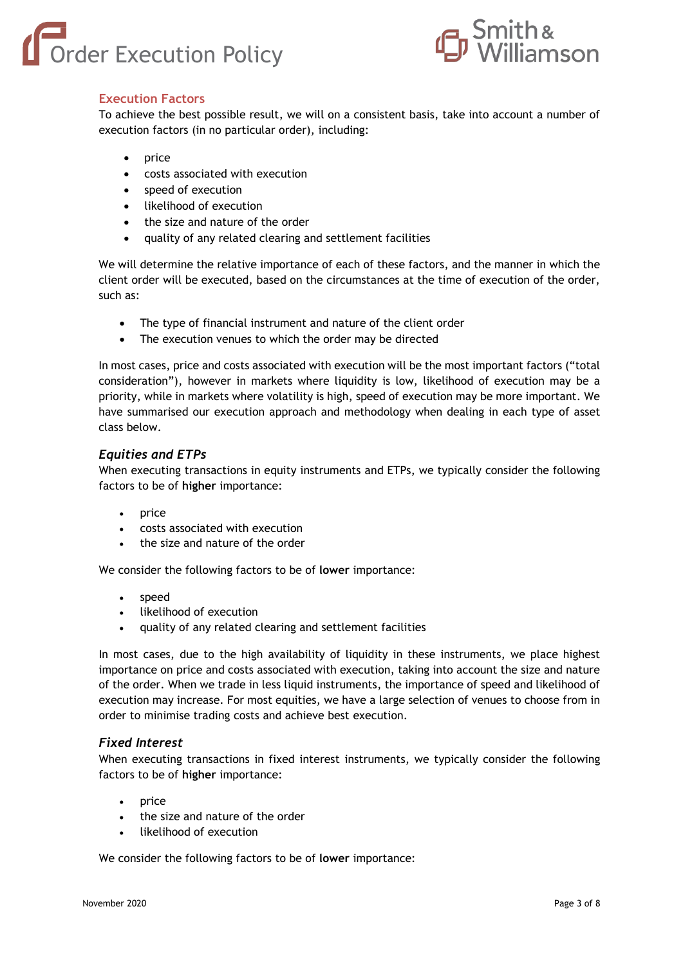



# **Execution Factors**

To achieve the best possible result, we will on a consistent basis, take into account a number of execution factors (in no particular order), including:

- price
- costs associated with execution
- speed of execution
- likelihood of execution
- the size and nature of the order
- quality of any related clearing and settlement facilities

We will determine the relative importance of each of these factors, and the manner in which the client order will be executed, based on the circumstances at the time of execution of the order, such as:

- The type of financial instrument and nature of the client order
- The execution venues to which the order may be directed

In most cases, price and costs associated with execution will be the most important factors ("total consideration"), however in markets where liquidity is low, likelihood of execution may be a priority, while in markets where volatility is high, speed of execution may be more important. We have summarised our execution approach and methodology when dealing in each type of asset class below.

#### *Equities and ETPs*

When executing transactions in equity instruments and ETPs, we typically consider the following factors to be of **higher** importance:

- price
- costs associated with execution
- the size and nature of the order

We consider the following factors to be of **lower** importance:

- speed
- likelihood of execution
- quality of any related clearing and settlement facilities

In most cases, due to the high availability of liquidity in these instruments, we place highest importance on price and costs associated with execution, taking into account the size and nature of the order. When we trade in less liquid instruments, the importance of speed and likelihood of execution may increase. For most equities, we have a large selection of venues to choose from in order to minimise trading costs and achieve best execution.

#### *Fixed Interest*

When executing transactions in fixed interest instruments, we typically consider the following factors to be of **higher** importance:

- price
- the size and nature of the order
- likelihood of execution

We consider the following factors to be of **lower** importance: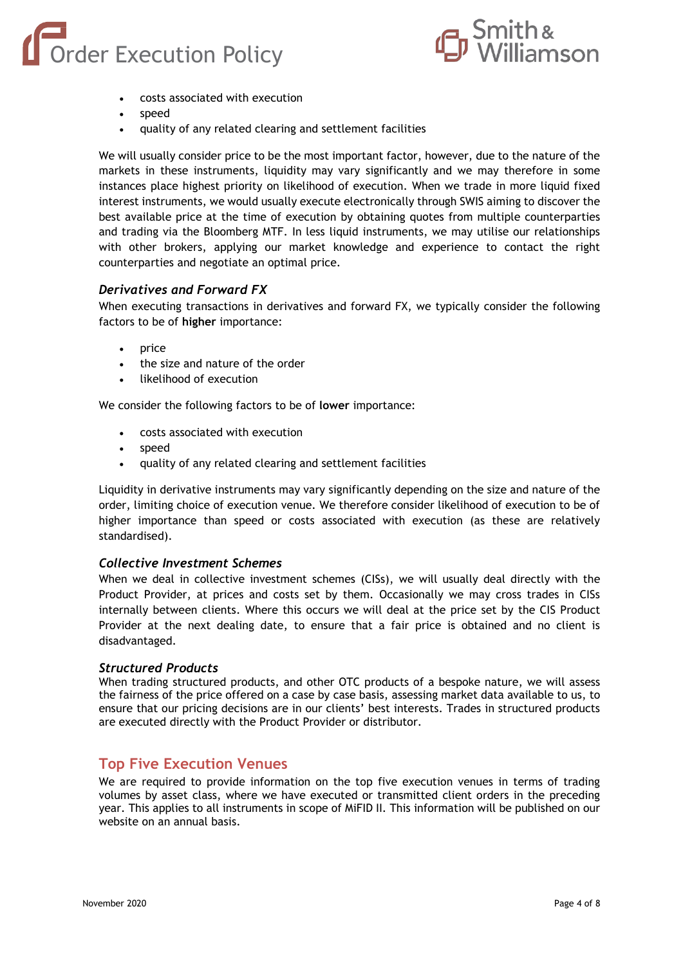# Order Execution Policy



- costs associated with execution
- speed
- quality of any related clearing and settlement facilities

We will usually consider price to be the most important factor, however, due to the nature of the markets in these instruments, liquidity may vary significantly and we may therefore in some instances place highest priority on likelihood of execution. When we trade in more liquid fixed interest instruments, we would usually execute electronically through SWIS aiming to discover the best available price at the time of execution by obtaining quotes from multiple counterparties and trading via the Bloomberg MTF. In less liquid instruments, we may utilise our relationships with other brokers, applying our market knowledge and experience to contact the right counterparties and negotiate an optimal price.

#### *Derivatives and Forward FX*

When executing transactions in derivatives and forward FX, we typically consider the following factors to be of **higher** importance:

- price
- the size and nature of the order
- likelihood of execution

We consider the following factors to be of **lower** importance:

- costs associated with execution
- speed
- quality of any related clearing and settlement facilities

Liquidity in derivative instruments may vary significantly depending on the size and nature of the order, limiting choice of execution venue. We therefore consider likelihood of execution to be of higher importance than speed or costs associated with execution (as these are relatively standardised).

#### *Collective Investment Schemes*

When we deal in collective investment schemes (CISs), we will usually deal directly with the Product Provider, at prices and costs set by them. Occasionally we may cross trades in CISs internally between clients. Where this occurs we will deal at the price set by the CIS Product Provider at the next dealing date, to ensure that a fair price is obtained and no client is disadvantaged.

#### *Structured Products*

When trading structured products, and other OTC products of a bespoke nature, we will assess the fairness of the price offered on a case by case basis, assessing market data available to us, to ensure that our pricing decisions are in our clients' best interests. Trades in structured products are executed directly with the Product Provider or distributor.

# **Top Five Execution Venues**

We are required to provide information on the top five execution venues in terms of trading volumes by asset class, where we have executed or transmitted client orders in the preceding year. This applies to all instruments in scope of MiFID II. This information will be published on our website on an annual basis.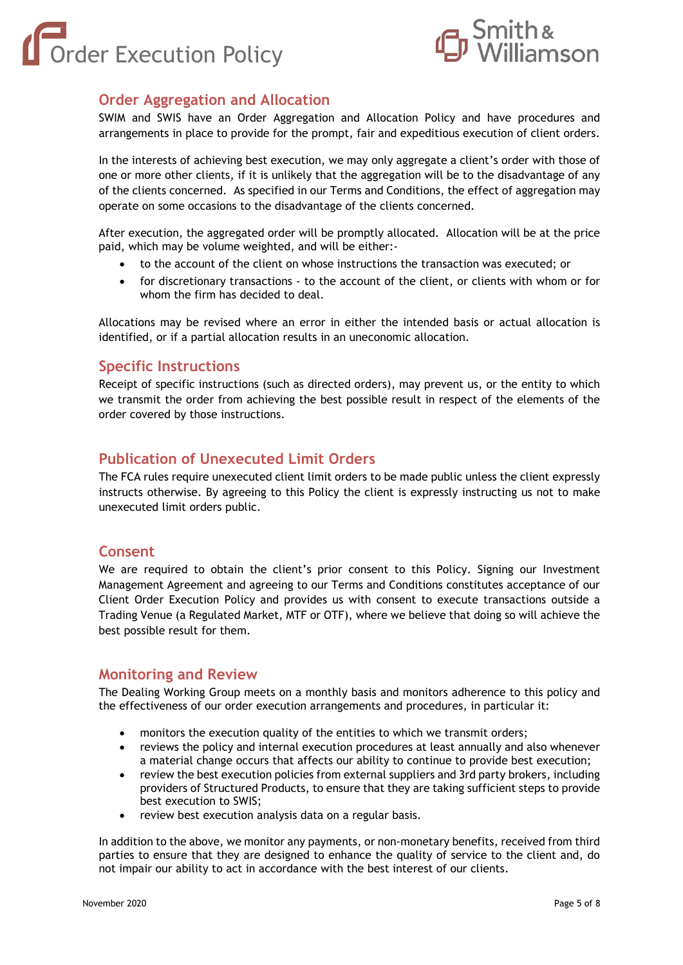



# **Order Aggregation and Allocation**

SWIM and SWIS have an Order Aggregation and Allocation Policy and have procedures and arrangements in place to provide for the prompt, fair and expeditious execution of client orders.

In the interests of achieving best execution, we may only aggregate a client's order with those of one or more other clients, if it is unlikely that the aggregation will be to the disadvantage of any of the clients concerned. As specified in our Terms and Conditions, the effect of aggregation may operate on some occasions to the disadvantage of the clients concerned.

After execution, the aggregated order will be promptly allocated. Allocation will be at the price paid, which may be volume weighted, and will be either:-

- to the account of the client on whose instructions the transaction was executed; or
- for discretionary transactions to the account of the client, or clients with whom or for whom the firm has decided to deal.

Allocations may be revised where an error in either the intended basis or actual allocation is identified, or if a partial allocation results in an uneconomic allocation.

# **Specific Instructions**

Receipt of specific instructions (such as directed orders), may prevent us, or the entity to which we transmit the order from achieving the best possible result in respect of the elements of the order covered by those instructions.

# **Publication of Unexecuted Limit Orders**

The FCA rules require unexecuted client limit orders to be made public unless the client expressly instructs otherwise. By agreeing to this Policy the client is expressly instructing us not to make unexecuted limit orders public.

# **Consent**

We are required to obtain the client's prior consent to this Policy. Signing our Investment Management Agreement and agreeing to our Terms and Conditions constitutes acceptance of our Client Order Execution Policy and provides us with consent to execute transactions outside a Trading Venue (a Regulated Market, MTF or OTF), where we believe that doing so will achieve the best possible result for them.

# **Monitoring and Review**

The Dealing Working Group meets on a monthly basis and monitors adherence to this policy and the effectiveness of our order execution arrangements and procedures, in particular it:

- monitors the execution quality of the entities to which we transmit orders;
- reviews the policy and internal execution procedures at least annually and also whenever a material change occurs that affects our ability to continue to provide best execution;
- review the best execution policies from external suppliers and 3rd party brokers, including providers of Structured Products, to ensure that they are taking sufficient steps to provide best execution to SWIS;
- review best execution analysis data on a regular basis.

In addition to the above, we monitor any payments, or non-monetary benefits, received from third parties to ensure that they are designed to enhance the quality of service to the client and, do not impair our ability to act in accordance with the best interest of our clients.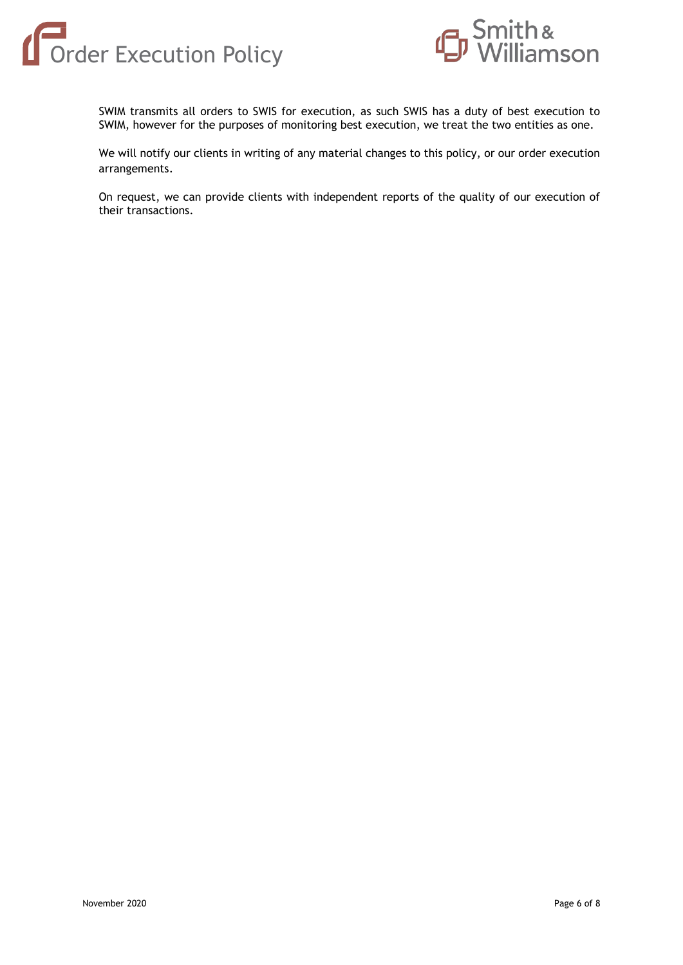



SWIM transmits all orders to SWIS for execution, as such SWIS has a duty of best execution to SWIM, however for the purposes of monitoring best execution, we treat the two entities as one.

We will notify our clients in writing of any material changes to this policy, or our order execution arrangements.

On request, we can provide clients with independent reports of the quality of our execution of their transactions.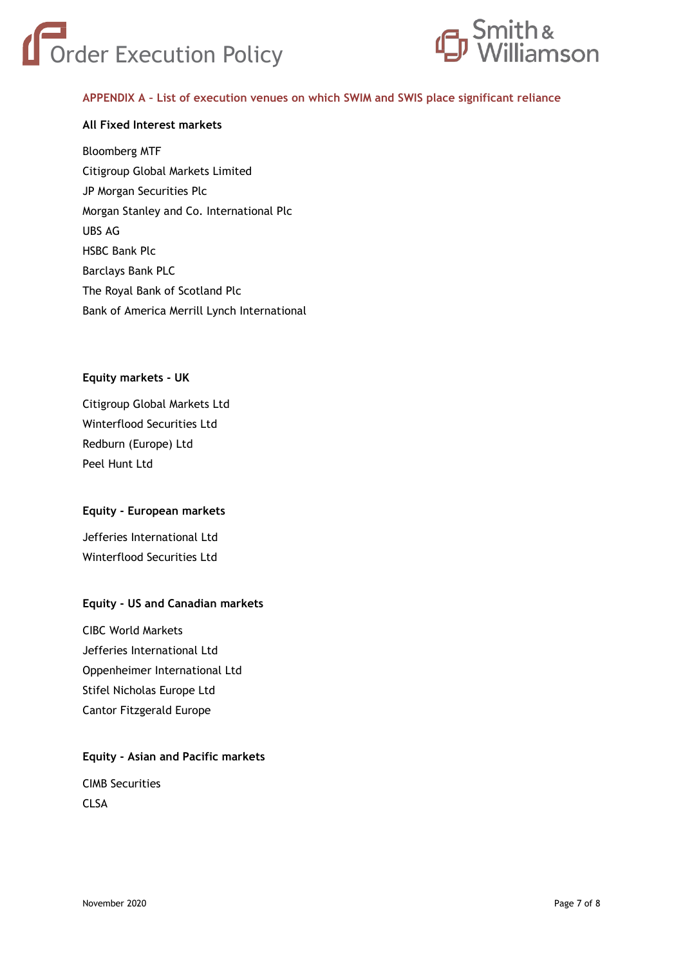



#### **APPENDIX A – List of execution venues on which SWIM and SWIS place significant reliance**

#### **All Fixed Interest markets**

Bloomberg MTF Citigroup Global Markets Limited JP Morgan Securities Plc Morgan Stanley and Co. International Plc UBS AG HSBC Bank Plc Barclays Bank PLC The Royal Bank of Scotland Plc Bank of America Merrill Lynch International

#### **Equity markets - UK**

Citigroup Global Markets Ltd Winterflood Securities Ltd Redburn (Europe) Ltd Peel Hunt Ltd

#### **Equity - European markets**

Jefferies International Ltd Winterflood Securities Ltd

#### **Equity - US and Canadian markets**

CIBC World Markets Jefferies International Ltd Oppenheimer International Ltd Stifel Nicholas Europe Ltd Cantor Fitzgerald Europe

#### **Equity - Asian and Pacific markets**

CIMB Securities CLSA